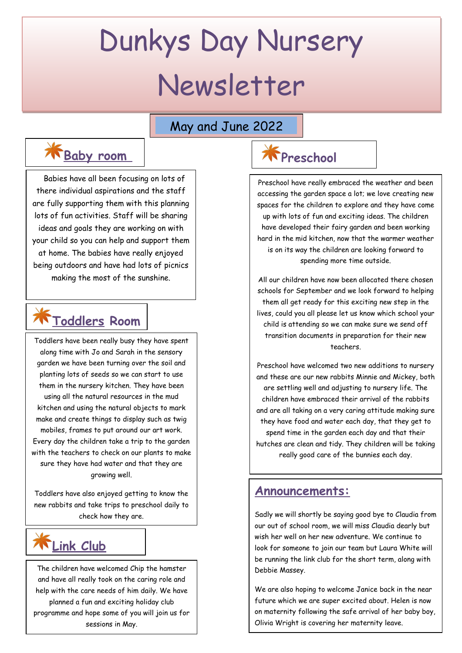# Dunkys Day Nursery Newsletter

### May and June 2022

# **K** Baby room Reschool

 Babies have all been focusing on lots of there individual aspirations and the staff are fully supporting them with this planning lots of fun activities. Staff will be sharing ideas and goals they are working on with your child so you can help and support them at home. The babies have really enjoyed being outdoors and have had lots of picnics making the most of the sunshine.

# **Toddlers Room**

Toddlers have been really busy they have spent along time with Jo and Sarah in the sensory garden we have been turning over the soil and planting lots of seeds so we can start to use them in the nursery kitchen. They have been using all the natural resources in the mud kitchen and using the natural objects to mark make and create things to display such as twig mobiles, frames to put around our art work. Every day the children take a trip to the garden with the teachers to check on our plants to make sure they have had water and that they are growing well.

Toddlers have also enjoyed getting to know the new rabbits and take trips to preschool daily to check how they are.

## **Link Club**

The children have welcomed Chip the hamster and have all really took on the caring role and help with the care needs of him daily. We have planned a fun and exciting holiday club programme and hope some of you will join us for sessions in May.

Preschool have really embraced the weather and been accessing the garden space a lot; we love creating new spaces for the children to explore and they have come up with lots of fun and exciting ideas. The children have developed their fairy garden and been working hard in the mid kitchen, now that the warmer weather is on its way the children are looking forward to spending more time outside.

All our children have now been allocated there chosen schools for September and we look forward to helping them all get ready for this exciting new step in the lives, could you all please let us know which school your child is attending so we can make sure we send off transition documents in preparation for their new teachers.

Preschool have welcomed two new additions to nursery and these are our new rabbits Minnie and Mickey, both are settling well and adjusting to nursery life. The children have embraced their arrival of the rabbits and are all taking on a very caring attitude making sure they have food and water each day, that they get to spend time in the garden each day and that their hutches are clean and tidy. They children will be taking really good care of the bunnies each day.

### **Announcements:**

Sadly we will shortly be saying good bye to Claudia from our out of school room, we will miss Claudia dearly but wish her well on her new adventure. We continue to look for someone to join our team but Laura White will be running the link club for the short term, along with Debbie Massey.

We are also hoping to welcome Janice back in the near future which we are super excited about. Helen is now on maternity following the safe arrival of her baby boy, Olivia Wright is covering her maternity leave.